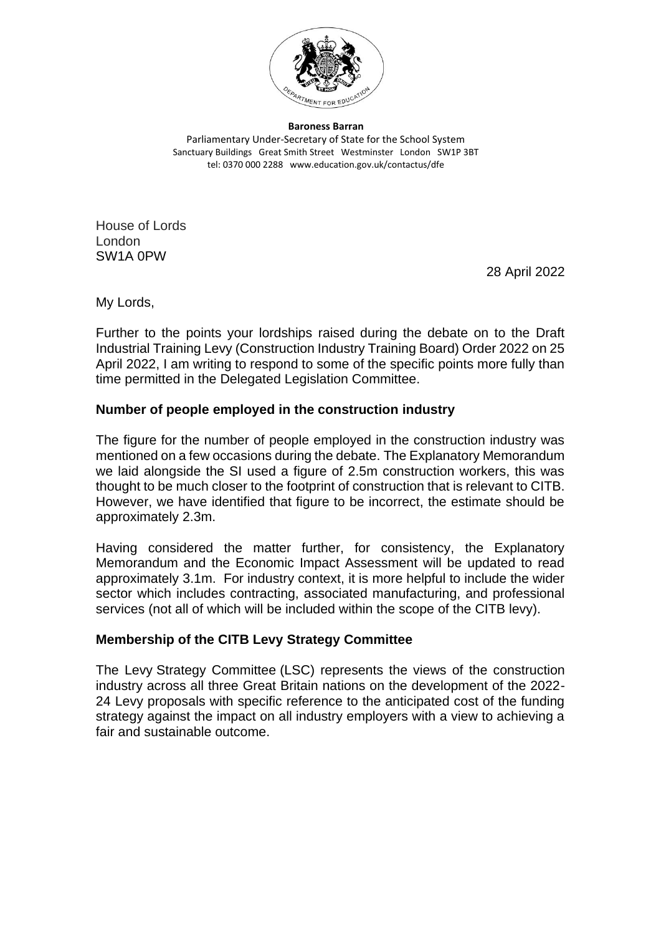

**Baroness Barran** Parliamentary Under-Secretary of State for the School System Sanctuary Buildings Great Smith Street Westminster London SW1P 3BT tel: 0370 000 2288 www.education.gov.uk/contactus/dfe

House of Lords London SW1A 0PW

28 April 2022

My Lords,

Further to the points your lordships raised during the debate on to the Draft Industrial Training Levy (Construction Industry Training Board) Order 2022 on 25 April 2022, I am writing to respond to some of the specific points more fully than time permitted in the Delegated Legislation Committee.

## **Number of people employed in the construction industry**

The figure for the number of people employed in the construction industry was mentioned on a few occasions during the debate. The Explanatory Memorandum we laid alongside the SI used a figure of 2.5m construction workers, this was thought to be much closer to the footprint of construction that is relevant to CITB. However, we have identified that figure to be incorrect, the estimate should be approximately 2.3m.

Having considered the matter further, for consistency, the Explanatory Memorandum and the Economic Impact Assessment will be updated to read approximately 3.1m. For industry context, it is more helpful to include the wider sector which includes contracting, associated manufacturing, and professional services (not all of which will be included within the scope of the CITB levy).

# **Membership of the CITB Levy Strategy Committee**

The Levy Strategy Committee (LSC) represents the views of the construction industry across all three Great Britain nations on the development of the 2022- 24 Levy proposals with specific reference to the anticipated cost of the funding strategy against the impact on all industry employers with a view to achieving a fair and sustainable outcome.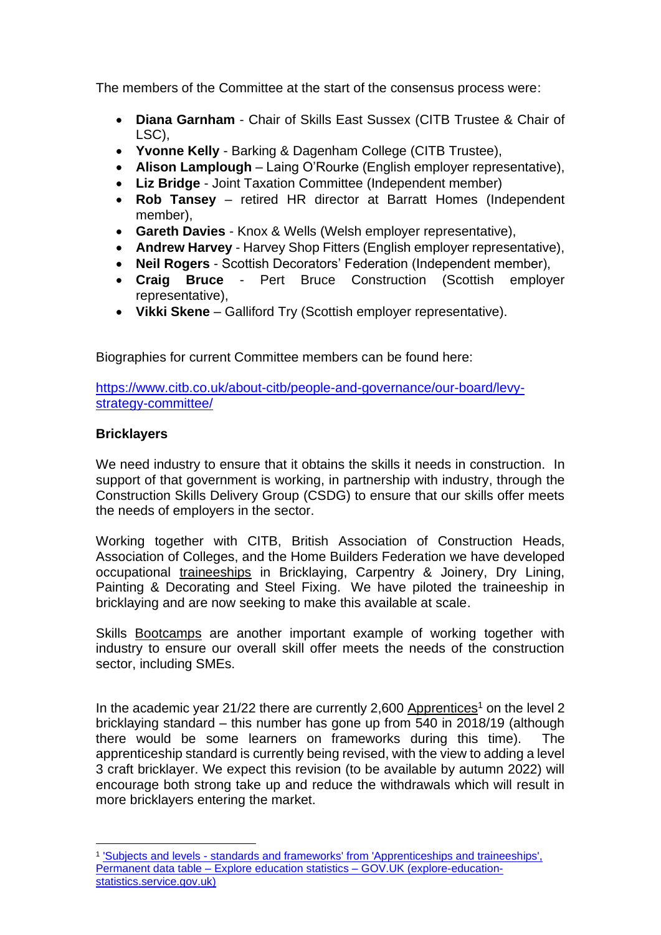The members of the Committee at the start of the consensus process were:

- **Diana Garnham**  Chair of Skills East Sussex (CITB Trustee & Chair of LSC),
- **Yvonne Kelly**  Barking & Dagenham College (CITB Trustee),
- **Alison Lamplough**  Laing O'Rourke (English employer representative),
- **Liz Bridge** Joint Taxation Committee (Independent member)
- **Rob Tansey** retired HR director at Barratt Homes (Independent member),
- **Gareth Davies** Knox & Wells (Welsh employer representative),
- **Andrew Harvey** Harvey Shop Fitters (English employer representative),
- **Neil Rogers** Scottish Decorators' Federation (Independent member),
- **Craig Bruce** Pert Bruce Construction (Scottish employer representative),
- **Vikki Skene** Galliford Try (Scottish employer representative).

Biographies for current Committee members can be found here:

[https://www.citb.co.uk/about-citb/people-and-governance/our-board/levy](https://www.citb.co.uk/about-citb/people-and-governance/our-board/levy-strategy-committee/)[strategy-committee/](https://www.citb.co.uk/about-citb/people-and-governance/our-board/levy-strategy-committee/)

## **Bricklayers**

We need industry to ensure that it obtains the skills it needs in construction. In support of that government is working, in partnership with industry, through the Construction Skills Delivery Group (CSDG) to ensure that our skills offer meets the needs of employers in the sector.

Working together with CITB, British Association of Construction Heads, Association of Colleges, and the Home Builders Federation we have developed occupational traineeships in Bricklaying, Carpentry & Joinery, Dry Lining, Painting & Decorating and Steel Fixing. We have piloted the traineeship in bricklaying and are now seeking to make this available at scale.

Skills Bootcamps are another important example of working together with industry to ensure our overall skill offer meets the needs of the construction sector, including SMEs.

In the academic year 21/22 there are currently 2,600 Apprentices<sup>1</sup> on the level 2 bricklaying standard – this number has gone up from 540 in 2018/19 (although there would be some learners on frameworks during this time). apprenticeship standard is currently being revised, with the view to adding a level 3 craft bricklayer. We expect this revision (to be available by autumn 2022) will encourage both strong take up and reduce the withdrawals which will result in more bricklayers entering the market.

<sup>&</sup>lt;sup>1</sup> 'Subjects and levels - standards and frameworks' from 'Apprenticeships and traineeships', Permanent data table – [Explore education statistics –](https://explore-education-statistics.service.gov.uk/data-tables/permalink/d298d075-08de-43b6-9d24-b298103a60b2) GOV.UK (explore-education[statistics.service.gov.uk\)](https://explore-education-statistics.service.gov.uk/data-tables/permalink/d298d075-08de-43b6-9d24-b298103a60b2)